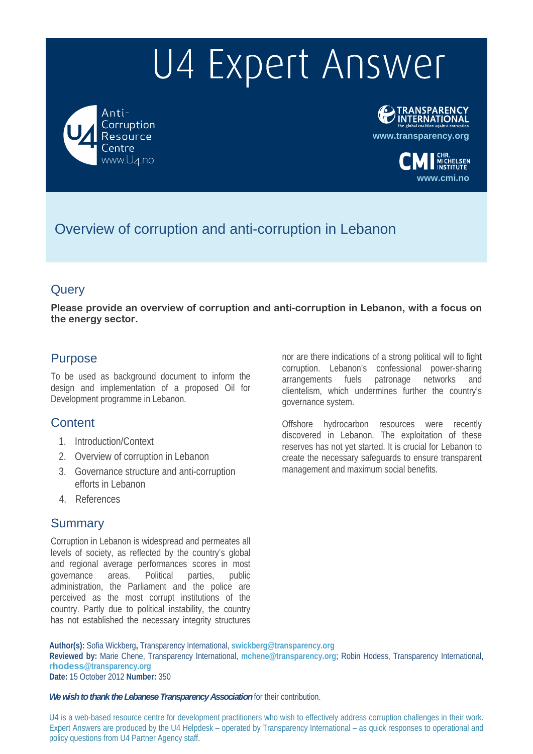Anti-Corruption Resource entre www.U4.no



**www.cmi.no**

Overview of corruption and anti-corruption in Lebanon

# **Query**

**Please provide an overview of corruption and anti-corruption in Lebanon, with a focus on the energy sector.** 

# Purpose

To be used as background document to inform the design and implementation of a proposed Oil for Development programme in Lebanon.

# **Content**

- 1. Introduction/Context
- 2. Overview of corruption in Lebanon
- 3. Governance structure and anti-corruption efforts in Lebanon
- 4. References

# Summary

Corruption in Lebanon is widespread and permeates all levels of society, as reflected by the country's global and regional average performances scores in most governance areas. Political parties, public administration, the Parliament and the police are perceived as the most corrupt institutions of the country. Partly due to political instability, the country has not established the necessary integrity structures nor are there indications of a strong political will to fight corruption. Lebanon's confessional power-sharing arrangements fuels patronage networks and clientelism, which undermines further the country's governance system.

Offshore hydrocarbon resources were recently discovered in Lebanon. The exploitation of these reserves has not yet started. It is crucial for Lebanon to create the necessary safeguards to ensure transparent management and maximum social benefits.

**Author(s):** Sofia Wickberg**,** Transparency International, **swickberg@transparency.org Reviewed by:** Marie Chene, Transparency International, **mchene@transparency.org**; Robin Hodess, Transparency International, **rhodess@transparency.org Date:** 15 October 2012 **Number:** 350

*We wish to thank the Lebanese Transparency Association* for their contribution.

U4 is a web-based resource centre for development practitioners who wish to effectively address corruption challenges in their work. Expert Answers are produced by the U4 Helpdesk – operated by Transparency International – as quick responses to operational and policy questions from U4 Partner Agency staff.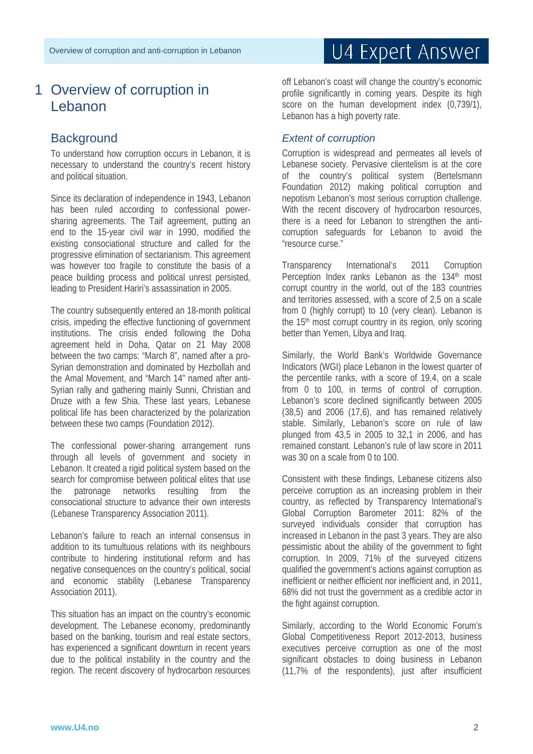# 1 Overview of corruption in Lebanon

# **Background**

To understand how corruption occurs in Lebanon, it is necessary to understand the country's recent history and political situation.

Since its declaration of independence in 1943, Lebanon has been ruled according to confessional powersharing agreements. The Taif agreement, putting an end to the 15-year civil war in 1990, modified the existing consociational structure and called for the progressive elimination of sectarianism. This agreement was however too fragile to constitute the basis of a peace building process and political unrest persisted, leading to President Hariri's assassination in 2005.

The country subsequently entered an 18-month political crisis, impeding the effective functioning of government institutions. The crisis ended following the Doha agreement held in Doha, Qatar on 21 May 2008 between the two camps: "March 8", named after a pro-Syrian demonstration and dominated by Hezbollah and the Amal Movement, and "March 14" named after anti-Syrian rally and gathering mainly Sunni, Christian and Druze with a few Shia. These last years, Lebanese political life has been characterized by the polarization between these two camps (Foundation 2012).

The confessional power-sharing arrangement runs through all levels of government and society in Lebanon. It created a rigid political system based on the search for compromise between political elites that use the patronage networks resulting from the consociational structure to advance their own interests (Lebanese Transparency Association 2011).

Lebanon's failure to reach an internal consensus in addition to its tumultuous relations with its neighbours contribute to hindering institutional reform and has negative consequences on the country's political, social and economic stability (Lebanese Transparency Association 2011).

This situation has an impact on the country's economic development. The Lebanese economy, predominantly based on the banking, tourism and real estate sectors, has experienced a significant downturn in recent years due to the political instability in the country and the region. The recent discovery of hydrocarbon resources

off Lebanon's coast will change the country's economic profile significantly in coming years. Despite its high score on the human development index (0,739/1), Lebanon has a high poverty rate.

# *Extent of corruption*

Corruption is widespread and permeates all levels of Lebanese society. Pervasive clientelism is at the core of the country's political system (Bertelsmann Foundation 2012) making political corruption and nepotism Lebanon's most serious corruption challenge. With the recent discovery of hydrocarbon resources, there is a need for Lebanon to strengthen the anticorruption safeguards for Lebanon to avoid the "resource curse."

Transparency International's 2011 Corruption Perception Index ranks Lebanon as the 134<sup>th</sup> most corrupt country in the world, out of the 183 countries and territories assessed, with a score of 2,5 on a scale from 0 (highly corrupt) to 10 (very clean). Lebanon is the 15<sup>th</sup> most corrupt country in its region, only scoring better than Yemen, Libya and Iraq.

Similarly, the World Bank's Worldwide Governance Indicators (WGI) place Lebanon in the lowest quarter of the percentile ranks, with a score of 19,4, on a scale from 0 to 100, in terms of control of corruption. Lebanon's score declined significantly between 2005 (38,5) and 2006 (17,6), and has remained relatively stable. Similarly, Lebanon's score on rule of law plunged from 43,5 in 2005 to 32,1 in 2006, and has remained constant. Lebanon's rule of law score in 2011 was 30 on a scale from 0 to 100.

Consistent with these findings, Lebanese citizens also perceive corruption as an increasing problem in their country, as reflected by Transparency International's Global Corruption Barometer 2011: 82% of the surveyed individuals consider that corruption has increased in Lebanon in the past 3 years. They are also pessimistic about the ability of the government to fight corruption. In 2009, 71% of the surveyed citizens qualified the government's actions against corruption as inefficient or neither efficient nor inefficient and, in 2011, 68% did not trust the government as a credible actor in the fight against corruption.

Similarly, according to the World Economic Forum's Global Competitiveness Report 2012-2013, business executives perceive corruption as one of the most significant obstacles to doing business in Lebanon (11,7% of the respondents), just after insufficient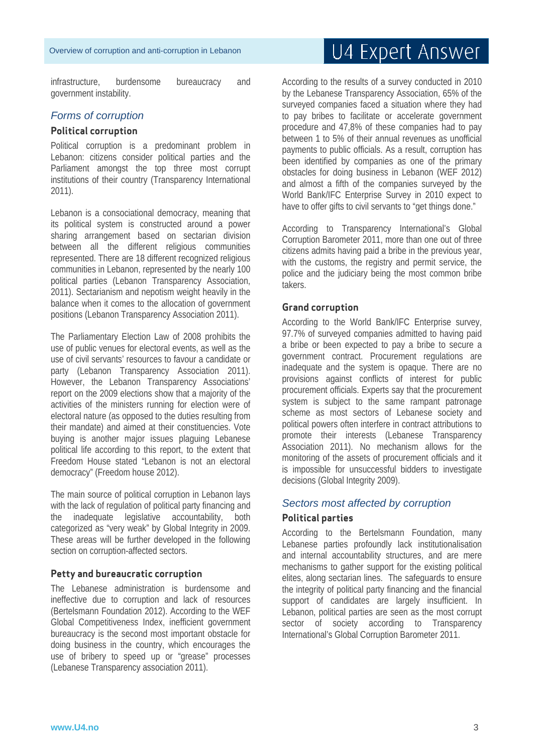infrastructure, burdensome bureaucracy and government instability.

### *Forms of corruption*

#### **Political corruption**

Political corruption is a predominant problem in Lebanon: citizens consider political parties and the Parliament amongst the top three most corrupt institutions of their country (Transparency International 2011).

Lebanon is a consociational democracy, meaning that its political system is constructed around a power sharing arrangement based on sectarian division between all the different religious communities represented. There are 18 different recognized religious communities in Lebanon, represented by the nearly 100 political parties (Lebanon Transparency Association, 2011). Sectarianism and nepotism weight heavily in the balance when it comes to the allocation of government positions (Lebanon Transparency Association 2011).

The Parliamentary Election Law of 2008 prohibits the use of public venues for electoral events, as well as the use of civil servants' resources to favour a candidate or party (Lebanon Transparency Association 2011). However, the Lebanon Transparency Associations' report on the 2009 elections show that a majority of the activities of the ministers running for election were of electoral nature (as opposed to the duties resulting from their mandate) and aimed at their constituencies. Vote buying is another major issues plaguing Lebanese political life according to this report, to the extent that Freedom House stated "Lebanon is not an electoral democracy" (Freedom house 2012).

The main source of political corruption in Lebanon lays with the lack of regulation of political party financing and the inadequate legislative accountability, both categorized as "very weak" by Global Integrity in 2009. These areas will be further developed in the following section on corruption-affected sectors.

#### **Petty and bureaucratic corruption**

The Lebanese administration is burdensome and ineffective due to corruption and lack of resources (Bertelsmann Foundation 2012). According to the WEF Global Competitiveness Index, inefficient government bureaucracy is the second most important obstacle for doing business in the country, which encourages the use of bribery to speed up or "grease" processes (Lebanese Transparency association 2011).

# U4 Expert Answer

According to the results of a survey conducted in 2010 by the Lebanese Transparency Association, 65% of the surveyed companies faced a situation where they had to pay bribes to facilitate or accelerate government procedure and 47,8% of these companies had to pay between 1 to 5% of their annual revenues as unofficial payments to public officials. As a result, corruption has been identified by companies as one of the primary obstacles for doing business in Lebanon (WEF 2012) and almost a fifth of the companies surveyed by the World Bank/IFC Enterprise Survey in 2010 expect to have to offer gifts to civil servants to "get things done."

According to Transparency International's Global Corruption Barometer 2011, more than one out of three citizens admits having paid a bribe in the previous year, with the customs, the registry and permit service, the police and the judiciary being the most common bribe takers.

#### **Grand corruption**

According to the World Bank/IFC Enterprise survey, 97.7% of surveyed companies admitted to having paid a bribe or been expected to pay a bribe to secure a government contract. Procurement regulations are inadequate and the system is opaque. There are no provisions against conflicts of interest for public procurement officials. Experts say that the procurement system is subject to the same rampant patronage scheme as most sectors of Lebanese society and political powers often interfere in contract attributions to promote their interests (Lebanese Transparency Association 2011). No mechanism allows for the monitoring of the assets of procurement officials and it is impossible for unsuccessful bidders to investigate decisions (Global Integrity 2009).

#### *Sectors most affected by corruption*

#### **Political parties**

According to the Bertelsmann Foundation, many Lebanese parties profoundly lack institutionalisation and internal accountability structures, and are mere mechanisms to gather support for the existing political elites, along sectarian lines. The safeguards to ensure the integrity of political party financing and the financial support of candidates are largely insufficient. In Lebanon, political parties are seen as the most corrupt sector of society according to Transparency International's Global Corruption Barometer 2011.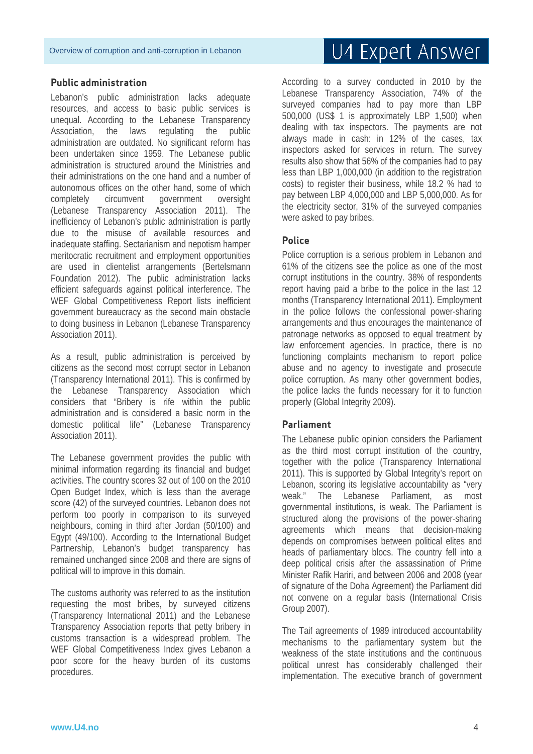#### **Public administration**

Lebanon's public administration lacks adequate resources, and access to basic public services is unequal. According to the Lebanese Transparency Association, the laws regulating the public administration are outdated. No significant reform has been undertaken since 1959. The Lebanese public administration is structured around the Ministries and their administrations on the one hand and a number of autonomous offices on the other hand, some of which completely circumvent government oversight (Lebanese Transparency Association 2011). The inefficiency of Lebanon's public administration is partly due to the misuse of available resources and inadequate staffing. Sectarianism and nepotism hamper meritocratic recruitment and employment opportunities are used in clientelist arrangements (Bertelsmann Foundation 2012). The public administration lacks efficient safeguards against political interference. The WEF Global Competitiveness Report lists inefficient government bureaucracy as the second main obstacle to doing business in Lebanon (Lebanese Transparency Association 2011).

As a result, public administration is perceived by citizens as the second most corrupt sector in Lebanon (Transparency International 2011). This is confirmed by the Lebanese Transparency Association which considers that "Bribery is rife within the public administration and is considered a basic norm in the domestic political life" (Lebanese Transparency Association 2011).

The Lebanese government provides the public with minimal information regarding its financial and budget activities. The country scores 32 out of 100 on the 2010 Open Budget Index, which is less than the average score (42) of the surveyed countries. Lebanon does not perform too poorly in comparison to its surveyed neighbours, coming in third after Jordan (50/100) and Egypt (49/100). According to the International Budget Partnership, Lebanon's budget transparency has remained unchanged since 2008 and there are signs of political will to improve in this domain.

The customs authority was referred to as the institution requesting the most bribes, by surveyed citizens (Transparency International 2011) and the Lebanese Transparency Association reports that petty bribery in customs transaction is a widespread problem. The WEF Global Competitiveness Index gives Lebanon a poor score for the heavy burden of its customs procedures.

# U4 Expert Answer

According to a survey conducted in 2010 by the Lebanese Transparency Association, 74% of the surveyed companies had to pay more than LBP 500,000 (US\$ 1 is approximately LBP 1,500) when dealing with tax inspectors. The payments are not always made in cash: in 12% of the cases, tax inspectors asked for services in return. The survey results also show that 56% of the companies had to pay less than LBP 1,000,000 (in addition to the registration costs) to register their business, while 18.2 % had to pay between LBP 4,000,000 and LBP 5,000,000. As for the electricity sector, 31% of the surveyed companies were asked to pay bribes.

### **Police**

Police corruption is a serious problem in Lebanon and 61% of the citizens see the police as one of the most corrupt institutions in the country. 38% of respondents report having paid a bribe to the police in the last 12 months (Transparency International 2011). Employment in the police follows the confessional power-sharing arrangements and thus encourages the maintenance of patronage networks as opposed to equal treatment by law enforcement agencies. In practice, there is no functioning complaints mechanism to report police abuse and no agency to investigate and prosecute police corruption. As many other government bodies, the police lacks the funds necessary for it to function properly (Global Integrity 2009).

#### **Parliament**

The Lebanese public opinion considers the Parliament as the third most corrupt institution of the country, together with the police (Transparency International 2011). This is supported by Global Integrity's report on Lebanon, scoring its legislative accountability as "very weak." The Lebanese Parliament, as most governmental institutions, is weak. The Parliament is structured along the provisions of the power-sharing agreements which means that decision-making depends on compromises between political elites and heads of parliamentary blocs. The country fell into a deep political crisis after the assassination of Prime Minister Rafik Hariri, and between 2006 and 2008 (year of signature of the Doha Agreement) the Parliament did not convene on a regular basis (International Crisis Group 2007).

The Taif agreements of 1989 introduced accountability mechanisms to the parliamentary system but the weakness of the state institutions and the continuous political unrest has considerably challenged their implementation. The executive branch of government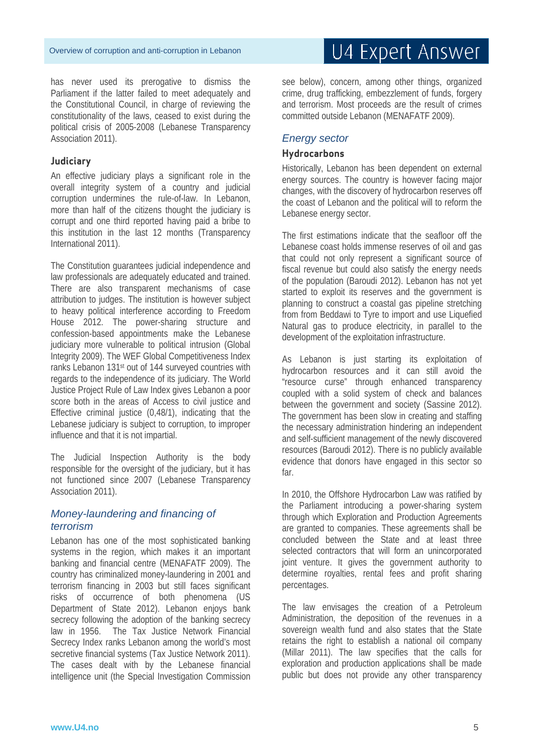has never used its prerogative to dismiss the Parliament if the latter failed to meet adequately and the Constitutional Council, in charge of reviewing the constitutionality of the laws, ceased to exist during the political crisis of 2005-2008 (Lebanese Transparency Association 2011).

### **Judiciary**

An effective judiciary plays a significant role in the overall integrity system of a country and judicial corruption undermines the rule-of-law. In Lebanon, more than half of the citizens thought the judiciary is corrupt and one third reported having paid a bribe to this institution in the last 12 months (Transparency International 2011).

The Constitution guarantees judicial independence and law professionals are adequately educated and trained. There are also transparent mechanisms of case attribution to judges. The institution is however subject to heavy political interference according to Freedom House 2012. The power-sharing structure and confession-based appointments make the Lebanese judiciary more vulnerable to political intrusion (Global Integrity 2009). The WEF Global Competitiveness Index ranks Lebanon 131st out of 144 surveyed countries with regards to the independence of its judiciary. The World Justice Project Rule of Law Index gives Lebanon a poor score both in the areas of Access to civil justice and Effective criminal justice (0,48/1), indicating that the Lebanese judiciary is subject to corruption, to improper influence and that it is not impartial.

The Judicial Inspection Authority is the body responsible for the oversight of the judiciary, but it has not functioned since 2007 (Lebanese Transparency Association 2011).

# *Money-laundering and financing of terrorism*

Lebanon has one of the most sophisticated banking systems in the region, which makes it an important banking and financial centre (MENAFATF 2009). The country has criminalized money-laundering in 2001 and terrorism financing in 2003 but still faces significant risks of occurrence of both phenomena (US Department of State 2012). Lebanon enjoys bank secrecy following the adoption of the banking secrecy law in 1956. The Tax Justice Network Financial Secrecy Index ranks Lebanon among the world's most secretive financial systems (Tax Justice Network 2011). The cases dealt with by the Lebanese financial intelligence unit (the Special Investigation Commission

see below), concern, among other things, organized crime, drug trafficking, embezzlement of funds, forgery and terrorism. Most proceeds are the result of crimes committed outside Lebanon (MENAFATF 2009).

# *Energy sector*

### **Hydrocarbons**

Historically, Lebanon has been dependent on external energy sources. The country is however facing major changes, with the discovery of hydrocarbon reserves off the coast of Lebanon and the political will to reform the Lebanese energy sector.

The first estimations indicate that the seafloor off the Lebanese coast holds immense reserves of oil and gas that could not only represent a significant source of fiscal revenue but could also satisfy the energy needs of the population (Baroudi 2012). Lebanon has not yet started to exploit its reserves and the government is planning to construct a coastal gas pipeline stretching from from Beddawi to Tyre to import and use Liquefied Natural gas to produce electricity, in parallel to the development of the exploitation infrastructure.

As Lebanon is just starting its exploitation of hydrocarbon resources and it can still avoid the "resource curse" through enhanced transparency coupled with a solid system of check and balances between the government and society (Sassine 2012). The government has been slow in creating and staffing the necessary administration hindering an independent and self-sufficient management of the newly discovered resources (Baroudi 2012). There is no publicly available evidence that donors have engaged in this sector so far.

In 2010, the Offshore Hydrocarbon Law was ratified by the Parliament introducing a power-sharing system through which Exploration and Production Agreements are granted to companies. These agreements shall be concluded between the State and at least three selected contractors that will form an unincorporated joint venture. It gives the government authority to determine royalties, rental fees and profit sharing percentages.

The law envisages the creation of a Petroleum Administration, the deposition of the revenues in a sovereign wealth fund and also states that the State retains the right to establish a national oil company (Millar 2011). The law specifies that the calls for exploration and production applications shall be made public but does not provide any other transparency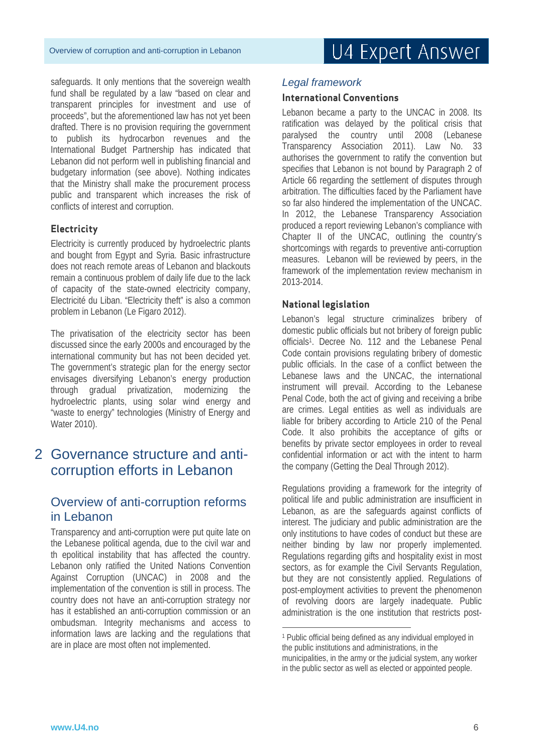safeguards. It only mentions that the sovereign wealth fund shall be regulated by a law "based on clear and transparent principles for investment and use of proceeds", but the aforementioned law has not yet been drafted. There is no provision requiring the government to publish its hydrocarbon revenues and the International Budget Partnership has indicated that Lebanon did not perform well in publishing financial and budgetary information (see above). Nothing indicates that the Ministry shall make the procurement process public and transparent which increases the risk of conflicts of interest and corruption.

# **Electricity**

Electricity is currently produced by hydroelectric plants and bought from Egypt and Syria. Basic infrastructure does not reach remote areas of Lebanon and blackouts remain a continuous problem of daily life due to the lack of capacity of the state-owned electricity company, Electricité du Liban. "Electricity theft" is also a common problem in Lebanon (Le Figaro 2012).

The privatisation of the electricity sector has been discussed since the early 2000s and encouraged by the international community but has not been decided yet. The government's strategic plan for the energy sector envisages diversifying Lebanon's energy production through gradual privatization, modernizing the hydroelectric plants, using solar wind energy and "waste to energy" technologies (Ministry of Energy and Water 2010).

# 2 Governance structure and anticorruption efforts in Lebanon

# Overview of anti-corruption reforms in Lebanon

Transparency and anti-corruption were put quite late on the Lebanese political agenda, due to the civil war and th epolitical instability that has affected the country. Lebanon only ratified the United Nations Convention Against Corruption (UNCAC) in 2008 and the implementation of the convention is still in process. The country does not have an anti-corruption strategy nor has it established an anti-corruption commission or an ombudsman. Integrity mechanisms and access to information laws are lacking and the regulations that are in place are most often not implemented.

# *Legal framework*

# **International Conventions**

Lebanon became a party to the UNCAC in 2008. Its ratification was delayed by the political crisis that paralysed the country until 2008 (Lebanese Transparency Association 2011). Law No. 33 authorises the government to ratify the convention but specifies that Lebanon is not bound by Paragraph 2 of Article 66 regarding the settlement of disputes through arbitration. The difficulties faced by the Parliament have so far also hindered the implementation of the UNCAC. In 2012, the Lebanese Transparency Association produced a report reviewing Lebanon's compliance with Chapter II of the UNCAC, outlining the country's shortcomings with regards to preventive anti-corruption measures. Lebanon will be reviewed by peers, in the framework of the implementation review mechanism in 2013-2014.

# **National legislation**

Lebanon's legal structure criminalizes bribery of domestic public officials but not bribery of foreign public officials<sup>1</sup>. Decree No. 112 and the Lebanese Penal Code contain provisions regulating bribery of domestic public officials. In the case of a conflict between the Lebanese laws and the UNCAC, the international instrument will prevail. According to the Lebanese Penal Code, both the act of giving and receiving a bribe are crimes. Legal entities as well as individuals are liable for bribery according to Article 210 of the Penal Code. It also prohibits the acceptance of gifts or benefits by private sector employees in order to reveal confidential information or act with the intent to harm the company (Getting the Deal Through 2012).

Regulations providing a framework for the integrity of political life and public administration are insufficient in Lebanon, as are the safeguards against conflicts of interest. The judiciary and public administration are the only institutions to have codes of conduct but these are neither binding by law nor properly implemented. Regulations regarding gifts and hospitality exist in most sectors, as for example the Civil Servants Regulation, but they are not consistently applied. Regulations of post-employment activities to prevent the phenomenon of revolving doors are largely inadequate. Public administration is the one institution that restricts post-

-

<sup>1</sup> Public official being defined as any individual employed in the public institutions and administrations, in the municipalities, in the army or the judicial system, any worker in the public sector as well as elected or appointed people.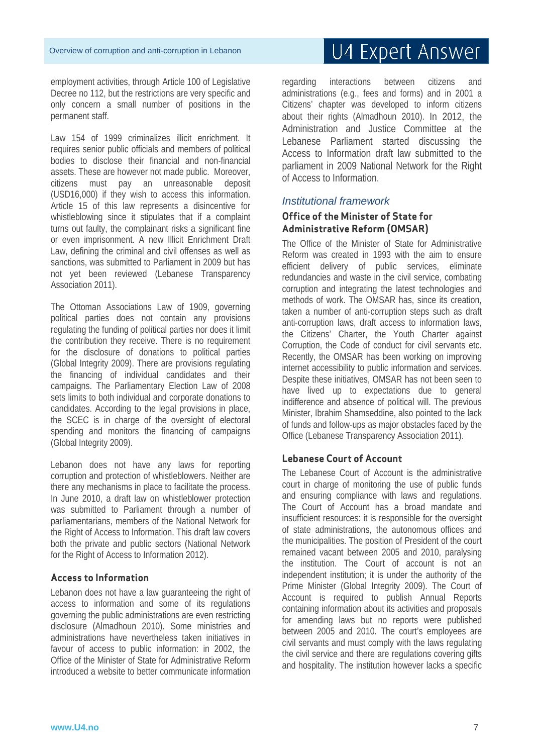employment activities, through Article 100 of Legislative Decree no 112, but the restrictions are very specific and only concern a small number of positions in the permanent staff.

Law 154 of 1999 criminalizes illicit enrichment. It requires senior public officials and members of political bodies to disclose their financial and non-financial assets. These are however not made public. Moreover, citizens must pay an unreasonable deposit (USD16,000) if they wish to access this information. Article 15 of this law represents a disincentive for whistleblowing since it stipulates that if a complaint turns out faulty, the complainant risks a significant fine or even imprisonment. A new Illicit Enrichment Draft Law, defining the criminal and civil offenses as well as sanctions, was submitted to Parliament in 2009 but has not yet been reviewed (Lebanese Transparency Association 2011).

The Ottoman Associations Law of 1909, governing political parties does not contain any provisions regulating the funding of political parties nor does it limit the contribution they receive. There is no requirement for the disclosure of donations to political parties (Global Integrity 2009). There are provisions regulating the financing of individual candidates and their campaigns. The Parliamentary Election Law of 2008 sets limits to both individual and corporate donations to candidates. According to the legal provisions in place, the SCEC is in charge of the oversight of electoral spending and monitors the financing of campaigns (Global Integrity 2009).

Lebanon does not have any laws for reporting corruption and protection of whistleblowers. Neither are there any mechanisms in place to facilitate the process. In June 2010, a draft law on whistleblower protection was submitted to Parliament through a number of parliamentarians, members of the National Network for the Right of Access to Information. This draft law covers both the private and public sectors (National Network for the Right of Access to Information 2012).

#### **Access to Information**

Lebanon does not have a law guaranteeing the right of access to information and some of its regulations governing the public administrations are even restricting disclosure (Almadhoun 2010). Some ministries and administrations have nevertheless taken initiatives in favour of access to public information: in 2002, the Office of the Minister of State for Administrative Reform introduced a website to better communicate information

# U4 Expert Answer

regarding interactions between citizens and administrations (e.g., fees and forms) and in 2001 a Citizens' chapter was developed to inform citizens about their rights (Almadhoun 2010). In 2012, the Administration and Justice Committee at the Lebanese Parliament started discussing the Access to Information draft law submitted to the parliament in 2009 National Network for the Right of Access to Information.

### *Institutional framework*

# **Office of the Minister of State for Administrative Reform (OMSAR)**

The Office of the Minister of State for Administrative Reform was created in 1993 with the aim to ensure efficient delivery of public services, eliminate redundancies and waste in the civil service, combating corruption and integrating the latest technologies and methods of work. The OMSAR has, since its creation, taken a number of anti-corruption steps such as draft anti-corruption laws, draft access to information laws, the Citizens' Charter, the Youth Charter against Corruption, the Code of conduct for civil servants etc. Recently, the OMSAR has been working on improving internet accessibility to public information and services. Despite these initiatives, OMSAR has not been seen to have lived up to expectations due to general indifference and absence of political will. The previous Minister, Ibrahim Shamseddine, also pointed to the lack of funds and follow-ups as major obstacles faced by the Office (Lebanese Transparency Association 2011).

# **Lebanese Court of Account**

The Lebanese Court of Account is the administrative court in charge of monitoring the use of public funds and ensuring compliance with laws and regulations. The Court of Account has a broad mandate and insufficient resources: it is responsible for the oversight of state administrations, the autonomous offices and the municipalities. The position of President of the court remained vacant between 2005 and 2010, paralysing the institution. The Court of account is not an independent institution; it is under the authority of the Prime Minister (Global Integrity 2009). The Court of Account is required to publish Annual Reports containing information about its activities and proposals for amending laws but no reports were published between 2005 and 2010. The court's employees are civil servants and must comply with the laws regulating the civil service and there are regulations covering gifts and hospitality. The institution however lacks a specific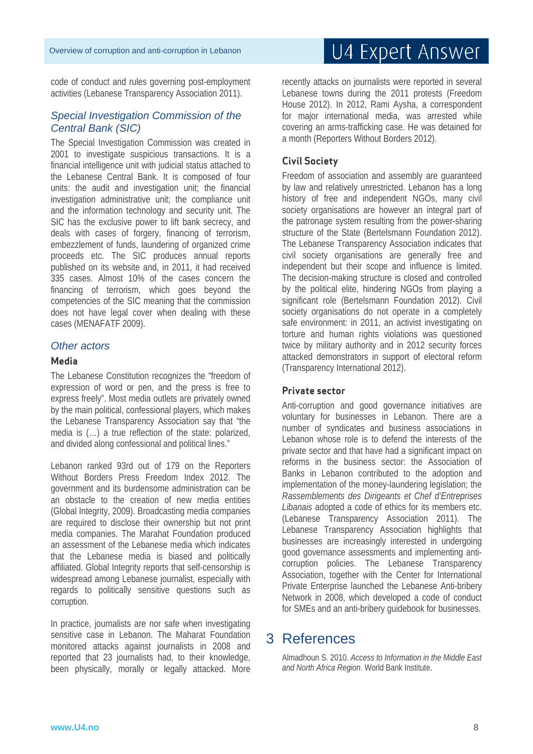code of conduct and rules governing post-employment activities (Lebanese Transparency Association 2011).

### *Special Investigation Commission of the Central Bank (SIC)*

The Special Investigation Commission was created in 2001 to investigate suspicious transactions. It is a financial intelligence unit with judicial status attached to the Lebanese Central Bank. It is composed of four units: the audit and investigation unit; the financial investigation administrative unit; the compliance unit and the information technology and security unit. The SIC has the exclusive power to lift bank secrecy, and deals with cases of forgery, financing of terrorism, embezzlement of funds, laundering of organized crime proceeds etc. The SIC produces annual reports published on its website and, in 2011, it had received 335 cases. Almost 10% of the cases concern the financing of terrorism, which goes beyond the competencies of the SIC meaning that the commission does not have legal cover when dealing with these cases (MENAFATF 2009).

#### *Other actors*

#### **Media**

The Lebanese Constitution recognizes the "freedom of expression of word or pen, and the press is free to express freely". Most media outlets are privately owned by the main political, confessional players, which makes the Lebanese Transparency Association say that "the media is (…) a true reflection of the state: polarized, and divided along confessional and political lines."

Lebanon ranked 93rd out of 179 on the Reporters Without Borders Press Freedom Index 2012. The government and its burdensome administration can be an obstacle to the creation of new media entities (Global Integrity, 2009). Broadcasting media companies are required to disclose their ownership but not print media companies. The Marahat Foundation produced an assessment of the Lebanese media which indicates that the Lebanese media is biased and politically affiliated. Global Integrity reports that self-censorship is widespread among Lebanese journalist, especially with regards to politically sensitive questions such as corruption.

In practice, journalists are nor safe when investigating sensitive case in Lebanon. The Maharat Foundation monitored attacks against journalists in 2008 and reported that 23 journalists had, to their knowledge, been physically, morally or legally attacked. More

# U4 Expert Answer

recently attacks on journalists were reported in several Lebanese towns during the 2011 protests (Freedom House 2012). In 2012, Rami Aysha, a correspondent for major international media, was arrested while covering an arms-trafficking case. He was detained for a month (Reporters Without Borders 2012).

#### **Civil Society**

Freedom of association and assembly are guaranteed by law and relatively unrestricted. Lebanon has a long history of free and independent NGOs, many civil society organisations are however an integral part of the patronage system resulting from the power-sharing structure of the State (Bertelsmann Foundation 2012). The Lebanese Transparency Association indicates that civil society organisations are generally free and independent but their scope and influence is limited. The decision-making structure is closed and controlled by the political elite, hindering NGOs from playing a significant role (Bertelsmann Foundation 2012). Civil society organisations do not operate in a completely safe environment: in 2011, an activist investigating on torture and human rights violations was questioned twice by military authority and in 2012 security forces attacked demonstrators in support of electoral reform (Transparency International 2012).

#### **Private sector**

Anti-corruption and good governance initiatives are voluntary for businesses in Lebanon. There are a number of syndicates and business associations in Lebanon whose role is to defend the interests of the private sector and that have had a significant impact on reforms in the business sector: the Association of Banks in Lebanon contributed to the adoption and implementation of the money-laundering legislation; the *Rassemblements des Dirigeants et Chef d'Entreprises Libanais* adopted a code of ethics for its members etc. (Lebanese Transparency Association 2011). The Lebanese Transparency Association highlights that businesses are increasingly interested in undergoing good governance assessments and implementing anticorruption policies. The Lebanese Transparency Association, together with the Center for International Private Enterprise launched the Lebanese Anti-bribery Network in 2008, which developed a code of conduct for SMEs and an anti-bribery guidebook for businesses.

# 3 References

Almadhoun S. 2010. *Access to Information in the Middle East and North Africa Region*. World Bank Institute.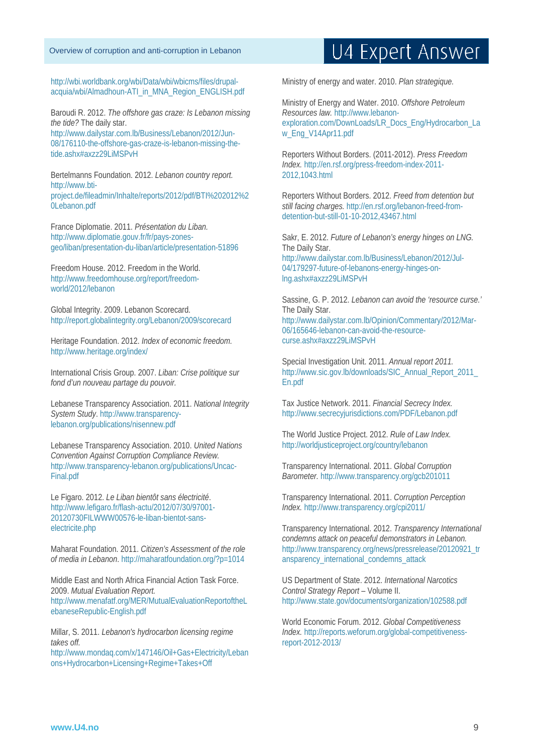#### Overview of corruption and anti-corruption in Lebanon

http://wbi.worldbank.org/wbi/Data/wbi/wbicms/files/drupalacquia/wbi/Almadhoun-ATI\_in\_MNA\_Region\_ENGLISH.pdf

Baroudi R. 2012. *The offshore gas craze: Is Lebanon missing the tide?* The daily star. http://www.dailystar.com.lb/Business/Lebanon/2012/Jun-08/176110-the-offshore-gas-craze-is-lebanon-missing-thetide.ashx#axzz29LiMSPvH

Bertelmanns Foundation. 2012. *Lebanon country report.* http://www.btiproject.de/fileadmin/Inhalte/reports/2012/pdf/BTI%202012%2 0Lebanon.pdf

France Diplomatie. 2011. *Présentation du Liban.* http://www.diplomatie.gouv.fr/fr/pays-zonesgeo/liban/presentation-du-liban/article/presentation-51896

Freedom House. 2012. Freedom in the World. http://www.freedomhouse.org/report/freedomworld/2012/lebanon

Global Integrity. 2009. Lebanon Scorecard. http://report.globalintegrity.org/Lebanon/2009/scorecard

Heritage Foundation. 2012. *Index of economic freedom.* http://www.heritage.org/index/

International Crisis Group. 2007. *Liban: Crise politique sur fond d'un nouveau partage du pouvoir.*

Lebanese Transparency Association. 2011. *National Integrity System Study*. http://www.transparencylebanon.org/publications/nisennew.pdf

Lebanese Transparency Association. 2010. *United Nations Convention Against Corruption Compliance Review.*  http://www.transparency-lebanon.org/publications/Uncac-Final.pdf

Le Figaro. 2012. *Le Liban bientôt sans électricité*. http://www.lefigaro.fr/flash-actu/2012/07/30/97001- 20120730FILWWW00576-le-liban-bientot-sanselectricite.php

Maharat Foundation. 2011. *Citizen's Assessment of the role of media in Lebanon*. http://maharatfoundation.org/?p=1014

Middle East and North Africa Financial Action Task Force. 2009. *Mutual Evaluation Report.* http://www.menafatf.org/MER/MutualEvaluationReportoftheL ebaneseRepublic-English.pdf

Millar, S. 2011. *Lebanon's hydrocarbon licensing regime takes off.*

http://www.mondaq.com/x/147146/Oil+Gas+Electricity/Leban ons+Hydrocarbon+Licensing+Regime+Takes+Off

# U4 Expert Answer

Ministry of energy and water. 2010. *Plan strategique.* 

Ministry of Energy and Water. 2010. *Offshore Petroleum Resources law.* http://www.lebanonexploration.com/DownLoads/LR\_Docs\_Eng/Hydrocarbon\_La w Eng\_V14Apr11.pdf

Reporters Without Borders. (2011-2012). *Press Freedom Index.* http://en.rsf.org/press-freedom-index-2011- 2012,1043.html

Reporters Without Borders. 2012. *Freed from detention but still facing charges.* http://en.rsf.org/lebanon-freed-fromdetention-but-still-01-10-2012,43467.html

Sakr, E. 2012. *Future of Lebanon's energy hinges on LNG.* The Daily Star. http://www.dailystar.com.lb/Business/Lebanon/2012/Jul-04/179297-future-of-lebanons-energy-hinges-onlng.ashx#axzz29LiMSPvH

Sassine, G. P. 2012. *Lebanon can avoid the 'resource curse.'* The Daily Star. http://www.dailystar.com.lb/Opinion/Commentary/2012/Mar-06/165646-lebanon-can-avoid-the-resourcecurse.ashx#axzz29LiMSPvH

Special Investigation Unit. 2011. *Annual report 2011.* http://www.sic.gov.lb/downloads/SIC\_Annual\_Report\_2011\_ En.pdf

Tax Justice Network. 2011. *Financial Secrecy Index.* http://www.secrecyjurisdictions.com/PDF/Lebanon.pdf

The World Justice Project. 2012. *Rule of Law Index.* http://worldjusticeproject.org/country/lebanon

Transparency International. 2011. *Global Corruption Barometer.* http://www.transparency.org/gcb201011

Transparency International. 2011. *Corruption Perception Index.* http://www.transparency.org/cpi2011/

Transparency International. 2012. *Transparency International condemns attack on peaceful demonstrators in Lebanon.* http://www.transparency.org/news/pressrelease/20120921\_tr ansparency\_international\_condemns\_attack

US Department of State. 2012. *International Narcotics Control Strategy Report* – Volume II. http://www.state.gov/documents/organization/102588.pdf

World Economic Forum. 2012. *Global Competitiveness Index.* http://reports.weforum.org/global-competitivenessreport-2012-2013/